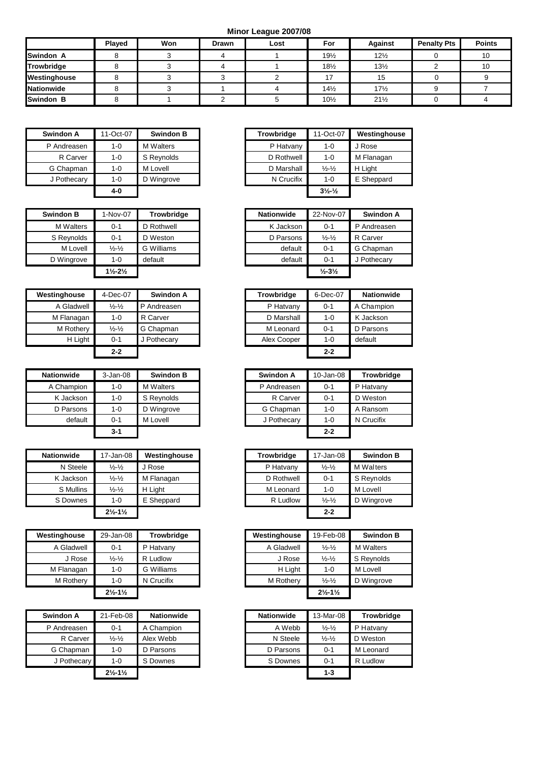**Minor League 2007/08**

|                   | Played | Won | <b>Drawn</b> | Lost | For             | <b>Against</b>  | <b>Penalty Pts</b> | <b>Points</b> |
|-------------------|--------|-----|--------------|------|-----------------|-----------------|--------------------|---------------|
| <b>Swindon A</b>  |        |     |              |      | $19\frac{1}{2}$ | $12\frac{1}{2}$ |                    | 10            |
| Trowbridge        |        |     |              |      | $18\frac{1}{2}$ | $13\frac{1}{2}$ |                    | 10            |
| Westinghouse      |        |     |              |      |                 | ن ا             |                    |               |
| <b>Nationwide</b> |        |     |              |      | $14\frac{1}{2}$ | $17\frac{1}{2}$ |                    |               |
| <b>Swindon B</b>  |        |     |              |      | $10\frac{1}{2}$ | $21\frac{1}{2}$ |                    |               |

| Swindon A   | 11-Oct-07<br><b>Swindon B</b> |                  | Trowbridge | 11-Oct-07                     | Westingho  |
|-------------|-------------------------------|------------------|------------|-------------------------------|------------|
| P Andreasen | $1 - 0$                       | <b>M</b> Walters | P Hatvany  | $1 - 0$                       | J Rose     |
| R Carver    | $1 - 0$                       | S Reynolds       | D Rothwell | $1 - 0$                       | M Flanagan |
| G Chapman   | $1 - 0$                       | M Lovell         | D Marshall | $\frac{1}{2}$ - $\frac{1}{2}$ | H Light    |
| J Pothecary | 1-0                           | D Wingrove       | N Crucifix | $1 - 0$                       | E Sheppard |
|             | 4-0                           |                  |            | $3\frac{1}{2}\frac{1}{2}$     |            |

| <b>Swindon B</b> | 1-Nov-07                      | <b>Trowbridge</b> | <b>Nationwide</b> | 22-Nov-07                     | <b>Swindon A</b> |
|------------------|-------------------------------|-------------------|-------------------|-------------------------------|------------------|
| <b>M</b> Walters | $0 - 1$                       | D Rothwell        | K Jackson         | $0 - 1$                       | P Andreasen      |
| S Reynolds       | $0 - 1$                       | D Weston          | D Parsons         | $\frac{1}{2}$ - $\frac{1}{2}$ | R Carver         |
| M Lovell         | $\frac{1}{2} - \frac{1}{2}$   | G Williams        | default           | $0 - 1$                       | G Chapman        |
| D Wingrove       | $1 - 0$                       | default           | default           | $0 - 1$                       | J Pothecary      |
|                  | $1\frac{1}{2} - 2\frac{1}{2}$ |                   |                   | $\frac{1}{2} - 3\frac{1}{2}$  |                  |

| Westinghouse | 4-Dec-07                    | Swindon A   | <b>Trowbridge</b> | 6-Dec-07 | <b>Nationwide</b> |
|--------------|-----------------------------|-------------|-------------------|----------|-------------------|
| A Gladwell   | $\frac{1}{2} - \frac{1}{2}$ | P Andreasen | P Hatvany         | $0 - 1$  | A Champion        |
| M Flanagan   | $1 - 0$                     | R Carver    | D Marshall        | $1 - 0$  | K Jackson         |
| M Rothery    | $\frac{1}{2} - \frac{1}{2}$ | G Chapman   | M Leonard         | $0 - 1$  | D Parsons         |
| H Light      | $0 - 1$                     | Pothecary ر | Alex Cooper       | $1 - 0$  | default           |
|              | $2 - 2$                     |             |                   | $2 - 2$  |                   |

| <b>Nationwide</b> | $3 - Jan-08$ | <b>Swindon B</b> | Swindon A   | 10-Jan-08 | Trowbridge |
|-------------------|--------------|------------------|-------------|-----------|------------|
| A Champion        | 1-0          | <b>M</b> Walters | P Andreasen | $0 - 1$   | P Hatvany  |
| K Jackson         | $1 - 0$      | S Reynolds       | R Carver    | $0 - 1$   | D Weston   |
| D Parsons         | 1-0          | D Wingrove       | G Chapman   | $1 - 0$   | A Ransom   |
| default           | $0 - 1$      | M Lovell         | J Pothecary | $1 - 0$   | N Crucifix |
|                   | 3-1          |                  |             | $2 - 2$   |            |

| <b>Nationwide</b> | 17-Jan-08                     | Westinghouse | <b>Trowbridge</b> | 17-Jan-08                     | <b>Swindon B</b> |
|-------------------|-------------------------------|--------------|-------------------|-------------------------------|------------------|
|                   |                               |              |                   |                               |                  |
| N Steele          | $\frac{1}{2} - \frac{1}{2}$   | Rose         | P Hatvany         | $\frac{1}{2} - \frac{1}{2}$   | M Walters        |
| K Jackson         | $\frac{1}{2} - \frac{1}{2}$   | M Flanagan   | D Rothwell        | $0 - 1$                       | S Reynolds       |
| S Mullins         | $\frac{1}{2} - \frac{1}{2}$   | H Light      | M Leonard         | $1 - 0$                       | M Lovell         |
| S Downes          | $1 - 0$                       | E Sheppard   | R Ludlow          | $\frac{1}{2}$ - $\frac{1}{2}$ | D Wingrove       |
|                   | $2\frac{1}{2} - 1\frac{1}{2}$ |              |                   | $2 - 2$                       |                  |

| Westinghouse | 29-Jan-08                     | <b>Trowbridge</b> | Westinghouse | 19-Feb-08                       | <b>Swindon B</b> |
|--------------|-------------------------------|-------------------|--------------|---------------------------------|------------------|
| A Gladwell   | 0-1                           | P Hatvany         | A Gladwell   | $\frac{1}{2}$ - $\frac{1}{2}$   | <b>M</b> Walters |
| J Rose       | $\frac{1}{2} - \frac{1}{2}$   | R Ludlow          | J Rose       | $\frac{1}{2} - \frac{1}{2}$     | S Reynolds       |
| M Flanagan   | 1-0                           | G Williams        | H Light      | $1 - 0$                         | M Lovell         |
| M Rothery    | $1 - 0$                       | N Crucifix        | M Rothery    | $\frac{1}{2}$ - $\frac{1}{2}$   | D Wingrove       |
|              | $2\frac{1}{2} - 1\frac{1}{2}$ |                   |              | $2\frac{1}{2}$ -1 $\frac{1}{2}$ |                  |

| Swindon A   | 21-Feb-08                       | <b>Nationwide</b> | <b>Nationwide</b> | 13-Mar-08                     | Trowbri   |
|-------------|---------------------------------|-------------------|-------------------|-------------------------------|-----------|
| P Andreasen | $0 - 1$                         | A Champion        | A Webb            | $\frac{1}{2}$ - $\frac{1}{2}$ | P Hatvany |
| R Carver    | $\frac{1}{2} - \frac{1}{2}$     | Alex Webb         | N Steele          | $\frac{1}{2} - \frac{1}{2}$   | D Weston  |
| G Chapman   | 1-0                             | D Parsons         | D Parsons         | $0 - 1$                       | M Leonard |
| J Pothecary | 1-0                             | S Downes          | S Downes          | $0 - 1$                       | R Ludlow  |
|             | $2\frac{1}{2}$ -1 $\frac{1}{2}$ |                   |                   | $1 - 3$                       |           |

| Swindon A   | 11-Oct-07 | <b>Swindon B</b> |
|-------------|-----------|------------------|
| P Andreasen | $1 - 0$   | <b>M</b> Walters |
| R Carver    | $1 - 0$   | S Reynolds       |
| G Chapman   | $1 - 0$   | M Lovell         |
| J Pothecary | $1 - 0$   | D Wingrove       |
|             | 4-0       |                  |

| indon B          | 1-Nov-07                      | <b>Trowbridge</b> |
|------------------|-------------------------------|-------------------|
| <b>M</b> Walters | $0 - 1$                       | D Rothwell        |
| 3 Reynolds       | $0 - 1$                       | D Weston          |
| M Lovell         | $\frac{1}{2} - \frac{1}{2}$   | G Williams        |
| Wingrove         | 1-0                           | default           |
|                  | $1\frac{1}{2} - 2\frac{1}{2}$ |                   |

| inghouse    | 4-Dec-07                      | Swindon A   | Trowbridge  | 6-Dec-07 | <b>Nationwide</b> |
|-------------|-------------------------------|-------------|-------------|----------|-------------------|
| A Gladwell  | $\frac{1}{2}$ - $\frac{1}{2}$ | P Andreasen | P Hatvany   | $0 - 1$  | A Champion        |
| VI Flanagan | $1 - 0$                       | R Carver    | D Marshall  | $1 - 0$  | K Jackson         |
| M Rothery   | $\frac{1}{2} - \frac{1}{2}$   | G Chapman   | M Leonard   | $0 - 1$  | D Parsons         |
| H Light     | $0 - 1$                       | J Pothecary | Alex Cooper | 1-0      | default           |
|             | $2 - 2$                       |             |             | $2 - 2$  |                   |

| wide                | $3 - Jan-08$ | <b>Swindon B</b> | Swindon A   | 10-Jan-08 | <b>Trowbridge</b> |
|---------------------|--------------|------------------|-------------|-----------|-------------------|
| ampion              | $1 - 0$      | <b>M</b> Walters | P Andreasen | $0 - 1$   | P Hatvany         |
| ackson              | $1 - 0$      | S Reynolds       | R Carver    | $0 - 1$   | D Weston          |
| arsons <sup>,</sup> | $1 - 0$      | D Wingrove       | G Chapman   | $1 - 0$   | A Ransom          |
| default             | $0 - 1$      | M Lovell         | J Pothecary | $1 - 0$   | N Crucifix        |
|                     | $3 - 1$      |                  |             | $2 - 2$   |                   |
|                     |              |                  |             |           |                   |

| ionwide   | 17-Jan-08                     | Westinghouse | Trowbridge | 17-Jan-08                     | <b>Swindon B</b> |
|-----------|-------------------------------|--------------|------------|-------------------------------|------------------|
| N Steele  | $\frac{1}{2} - \frac{1}{2}$   | Rose         | P Hatvany  | $\frac{1}{2} - \frac{1}{2}$   | M Walters        |
| K Jackson | $\frac{1}{2} - \frac{1}{2}$   | M Flanagan   | D Rothwell | $0 - 1$                       | S Reynolds       |
| S Mullins | $\frac{1}{2} - \frac{1}{2}$   | H Light      | M Leonard  | $1 - 0$                       | M Lovell         |
| S Downes  | $1 - 0$                       | E Sheppard   | R Ludlow   | $\frac{1}{2}$ - $\frac{1}{2}$ | D Wingrove       |
|           | $2\frac{1}{2} - 1\frac{1}{2}$ |              |            | $2 - 2$                       |                  |

| house          | 29-Jan-08                     | <b>Trowbridge</b> | Westinghouse | 19-Feb-08                       | <b>Swindon B</b> |
|----------------|-------------------------------|-------------------|--------------|---------------------------------|------------------|
| ladwell        | $0 - 1$                       | P Hatvany         | A Gladwell   | $\frac{1}{2} - \frac{1}{2}$     | <b>M</b> Walters |
| J Rose         | $\frac{1}{2} - \frac{1}{2}$   | R Ludlow          | J Rose       | $\frac{1}{2} - \frac{1}{2}$     | S Reynolds       |
| anaqan         | $1 - 0$                       | G Williams        | H Light      | $1 - 0$                         | M Lovell         |
| <b>Rotherv</b> | $1 - 0$                       | N Crucifix        | M Rothery    | $\frac{1}{2} - \frac{1}{2}$     | D Wingrove       |
|                | $2\frac{1}{2} - 1\frac{1}{2}$ |                   |              | $2\frac{1}{2}$ -1 $\frac{1}{2}$ |                  |

| Swindon A   | 21-Feb-08                     | <b>Nationwide</b> | <b>Nationwide</b> | 13-Mar-08                     | <b>Trowbridge</b> |
|-------------|-------------------------------|-------------------|-------------------|-------------------------------|-------------------|
| P Andreasen | $0 - 1$                       | A Champion        | A Webb            | $\frac{1}{2}$ - $\frac{1}{2}$ | P Hatvany         |
| R Carver    | $\frac{1}{2} - \frac{1}{2}$   | Alex Webb         | N Steele          | $\frac{1}{2}$ - $\frac{1}{2}$ | D Weston          |
| G Chapman   | $1 - 0$                       | D Parsons         | D Parsons         | $0 - 1$                       | M Leonard         |
| J Pothecary | $1 - 0$                       | S Downes          | S Downes          | $0 - 1$                       | R Ludlow          |
|             | $2\frac{1}{2} - 1\frac{1}{2}$ |                   |                   | $1 - 3$                       |                   |